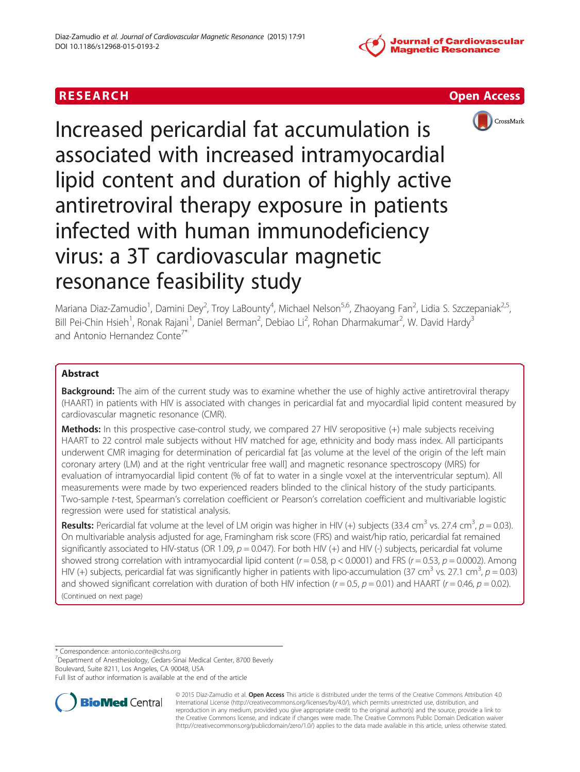

# RESEARCH **RESEARCH CONSUMING ACCESS**



Increased pericardial fat accumulation is associated with increased intramyocardial lipid content and duration of highly active antiretroviral therapy exposure in patients infected with human immunodeficiency virus: a 3T cardiovascular magnetic resonance feasibility study

Mariana Diaz-Zamudio<sup>1</sup>, Damini Dey<sup>2</sup>, Troy LaBounty<sup>4</sup>, Michael Nelson<sup>5,6</sup>, Zhaoyang Fan<sup>2</sup>, Lidia S. Szczepaniak<sup>2,5</sup>, Bill Pei-Chin Hsieh<sup>1</sup>, Ronak Rajani<sup>1</sup>, Daniel Berman<sup>2</sup>, Debiao Li<sup>2</sup>, Rohan Dharmakumar<sup>2</sup>, W. David Hardy<sup>3</sup> and Antonio Hernandez Conte<sup>7\*</sup>

# Abstract

**Background:** The aim of the current study was to examine whether the use of highly active antiretroviral therapy (HAART) in patients with HIV is associated with changes in pericardial fat and myocardial lipid content measured by cardiovascular magnetic resonance (CMR).

Methods: In this prospective case-control study, we compared 27 HIV seropositive (+) male subjects receiving HAART to 22 control male subjects without HIV matched for age, ethnicity and body mass index. All participants underwent CMR imaging for determination of pericardial fat [as volume at the level of the origin of the left main coronary artery (LM) and at the right ventricular free wall] and magnetic resonance spectroscopy (MRS) for evaluation of intramyocardial lipid content (% of fat to water in a single voxel at the interventricular septum). All measurements were made by two experienced readers blinded to the clinical history of the study participants. Two-sample t-test, Spearman's correlation coefficient or Pearson's correlation coefficient and multivariable logistic regression were used for statistical analysis.

**Results:** Pericardial fat volume at the level of LM origin was higher in HIV (+) subjects (33.4 cm<sup>3</sup> vs. 27.4 cm<sup>3</sup>,  $p = 0.03$ ).<br>On multivariable analysis adjusted for age Framingham risk score (ERS) and waist/hin ratio On multivariable analysis adjusted for age, Framingham risk score (FRS) and waist/hip ratio, pericardial fat remained significantly associated to HIV-status (OR 1.09,  $p = 0.047$ ). For both HIV (+) and HIV (-) subjects, pericardial fat volume showed strong correlation with intramyocardial lipid content ( $r = 0.58$ ,  $p < 0.0001$ ) and FRS ( $r = 0.53$ ,  $p = 0.0002$ ). Among HIV (+) subjects, pericardial fat was significantly higher in patients with lipo-accumulation (37 cm<sup>3</sup> vs. 27.1 cm<sup>3</sup>,  $p = 0.03$ ) and showed significant correlation with duration of both HIV infection ( $r = 0.5$ ,  $p = 0.01$ ) and HAART ( $r = 0.46$ ,  $p = 0.02$ ). (Continued on next page)

\* Correspondence: [antonio.conte@cshs.org](mailto:antonio.conte@cshs.org) <sup>7</sup>

<sup>7</sup>Department of Anesthesiology, Cedars-Sinai Medical Center, 8700 Beverly Boulevard, Suite 8211, Los Angeles, CA 90048, USA

Full list of author information is available at the end of the article



© 2015 Diaz-Zamudio et al. Open Access This article is distributed under the terms of the Creative Commons Attribution 4.0 International License [\(http://creativecommons.org/licenses/by/4.0/](http://creativecommons.org/licenses/by/4.0/)), which permits unrestricted use, distribution, and reproduction in any medium, provided you give appropriate credit to the original author(s) and the source, provide a link to the Creative Commons license, and indicate if changes were made. The Creative Commons Public Domain Dedication waiver [\(http://creativecommons.org/publicdomain/zero/1.0/](http://creativecommons.org/publicdomain/zero/1.0/)) applies to the data made available in this article, unless otherwise stated.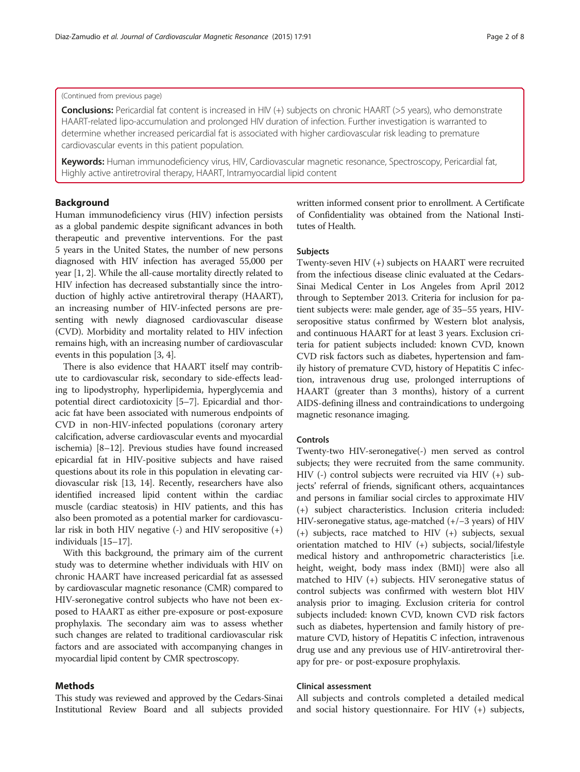#### (Continued from previous page)

Conclusions: Pericardial fat content is increased in HIV (+) subjects on chronic HAART (>5 years), who demonstrate HAART-related lipo-accumulation and prolonged HIV duration of infection. Further investigation is warranted to determine whether increased pericardial fat is associated with higher cardiovascular risk leading to premature cardiovascular events in this patient population.

Keywords: Human immunodeficiency virus, HIV, Cardiovascular magnetic resonance, Spectroscopy, Pericardial fat, Highly active antiretroviral therapy, HAART, Intramyocardial lipid content

### Background

Human immunodeficiency virus (HIV) infection persists as a global pandemic despite significant advances in both therapeutic and preventive interventions. For the past 5 years in the United States, the number of new persons diagnosed with HIV infection has averaged 55,000 per year [\[1, 2](#page-7-0)]. While the all-cause mortality directly related to HIV infection has decreased substantially since the introduction of highly active antiretroviral therapy (HAART), an increasing number of HIV-infected persons are presenting with newly diagnosed cardiovascular disease (CVD). Morbidity and mortality related to HIV infection remains high, with an increasing number of cardiovascular events in this population [\[3](#page-7-0), [4](#page-7-0)].

There is also evidence that HAART itself may contribute to cardiovascular risk, secondary to side-effects leading to lipodystrophy, hyperlipidemia, hyperglycemia and potential direct cardiotoxicity [[5](#page-7-0)–[7](#page-7-0)]. Epicardial and thoracic fat have been associated with numerous endpoints of CVD in non-HIV-infected populations (coronary artery calcification, adverse cardiovascular events and myocardial ischemia) [\[8](#page-7-0)–[12](#page-7-0)]. Previous studies have found increased epicardial fat in HIV-positive subjects and have raised questions about its role in this population in elevating cardiovascular risk [[13, 14](#page-7-0)]. Recently, researchers have also identified increased lipid content within the cardiac muscle (cardiac steatosis) in HIV patients, and this has also been promoted as a potential marker for cardiovascular risk in both HIV negative (-) and HIV seropositive (+) individuals [[15](#page-7-0)–[17\]](#page-7-0).

With this background, the primary aim of the current study was to determine whether individuals with HIV on chronic HAART have increased pericardial fat as assessed by cardiovascular magnetic resonance (CMR) compared to HIV-seronegative control subjects who have not been exposed to HAART as either pre-exposure or post-exposure prophylaxis. The secondary aim was to assess whether such changes are related to traditional cardiovascular risk factors and are associated with accompanying changes in myocardial lipid content by CMR spectroscopy.

### Methods

This study was reviewed and approved by the Cedars-Sinai Institutional Review Board and all subjects provided written informed consent prior to enrollment. A Certificate of Confidentiality was obtained from the National Institutes of Health.

### Subjects

Twenty-seven HIV (+) subjects on HAART were recruited from the infectious disease clinic evaluated at the Cedars-Sinai Medical Center in Los Angeles from April 2012 through to September 2013. Criteria for inclusion for patient subjects were: male gender, age of 35–55 years, HIVseropositive status confirmed by Western blot analysis, and continuous HAART for at least 3 years. Exclusion criteria for patient subjects included: known CVD, known CVD risk factors such as diabetes, hypertension and family history of premature CVD, history of Hepatitis C infection, intravenous drug use, prolonged interruptions of HAART (greater than 3 months), history of a current AIDS-defining illness and contraindications to undergoing magnetic resonance imaging.

### Controls

Twenty-two HIV-seronegative(-) men served as control subjects; they were recruited from the same community. HIV (-) control subjects were recruited via HIV (+) subjects' referral of friends, significant others, acquaintances and persons in familiar social circles to approximate HIV (+) subject characteristics. Inclusion criteria included: HIV-seronegative status, age-matched (+/−3 years) of HIV (+) subjects, race matched to HIV (+) subjects, sexual orientation matched to HIV (+) subjects, social/lifestyle medical history and anthropometric characteristics [i.e. height, weight, body mass index (BMI)] were also all matched to HIV (+) subjects. HIV seronegative status of control subjects was confirmed with western blot HIV analysis prior to imaging. Exclusion criteria for control subjects included: known CVD, known CVD risk factors such as diabetes, hypertension and family history of premature CVD, history of Hepatitis C infection, intravenous drug use and any previous use of HIV-antiretroviral therapy for pre- or post-exposure prophylaxis.

### Clinical assessment

All subjects and controls completed a detailed medical and social history questionnaire. For HIV (+) subjects,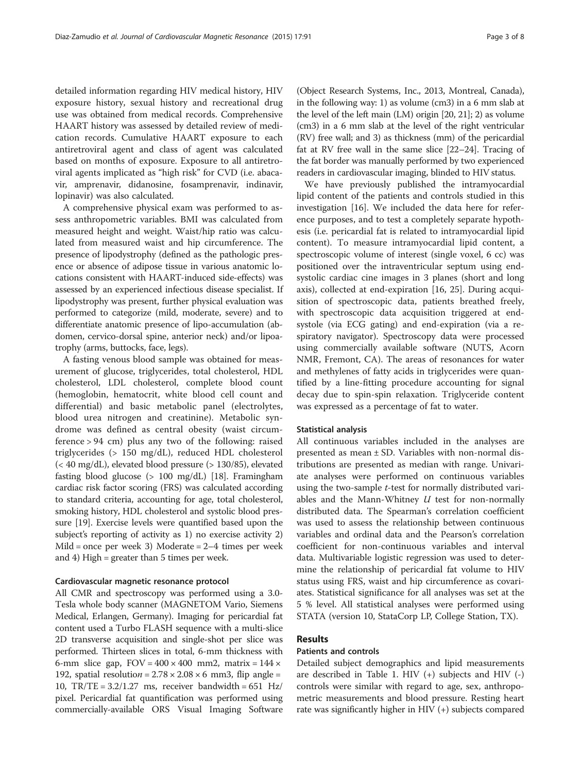detailed information regarding HIV medical history, HIV exposure history, sexual history and recreational drug use was obtained from medical records. Comprehensive HAART history was assessed by detailed review of medication records. Cumulative HAART exposure to each antiretroviral agent and class of agent was calculated based on months of exposure. Exposure to all antiretroviral agents implicated as "high risk" for CVD (i.e. abacavir, amprenavir, didanosine, fosamprenavir, indinavir, lopinavir) was also calculated.

A comprehensive physical exam was performed to assess anthropometric variables. BMI was calculated from measured height and weight. Waist/hip ratio was calculated from measured waist and hip circumference. The presence of lipodystrophy (defined as the pathologic presence or absence of adipose tissue in various anatomic locations consistent with HAART-induced side-effects) was assessed by an experienced infectious disease specialist. If lipodystrophy was present, further physical evaluation was performed to categorize (mild, moderate, severe) and to differentiate anatomic presence of lipo-accumulation (abdomen, cervico-dorsal spine, anterior neck) and/or lipoatrophy (arms, buttocks, face, legs).

A fasting venous blood sample was obtained for measurement of glucose, triglycerides, total cholesterol, HDL cholesterol, LDL cholesterol, complete blood count (hemoglobin, hematocrit, white blood cell count and differential) and basic metabolic panel (electrolytes, blood urea nitrogen and creatinine). Metabolic syndrome was defined as central obesity (waist circumference > 94 cm) plus any two of the following: raised triglycerides (> 150 mg/dL), reduced HDL cholesterol (< 40 mg/dL), elevated blood pressure (> 130/85), elevated fasting blood glucose (> 100 mg/dL) [[18](#page-7-0)]. Framingham cardiac risk factor scoring (FRS) was calculated according to standard criteria, accounting for age, total cholesterol, smoking history, HDL cholesterol and systolic blood pressure [\[19\]](#page-7-0). Exercise levels were quantified based upon the subject's reporting of activity as 1) no exercise activity 2) Mild = once per week 3) Moderate =  $2-4$  times per week and 4) High = greater than 5 times per week.

### Cardiovascular magnetic resonance protocol

All CMR and spectroscopy was performed using a 3.0- Tesla whole body scanner (MAGNETOM Vario, Siemens Medical, Erlangen, Germany). Imaging for pericardial fat content used a Turbo FLASH sequence with a multi-slice 2D transverse acquisition and single-shot per slice was performed. Thirteen slices in total, 6-mm thickness with 6-mm slice gap,  $FOV = 400 \times 400$  mm2, matrix =  $144 \times$ 192, spatial resolution =  $2.78 \times 2.08 \times 6$  mm3, flip angle = 10,  $TR/TE = 3.2/1.27$  ms, receiver bandwidth = 651 Hz/ pixel. Pericardial fat quantification was performed using commercially-available ORS Visual Imaging Software (Object Research Systems, Inc., 2013, Montreal, Canada), in the following way: 1) as volume (cm3) in a 6 mm slab at the level of the left main (LM) origin [\[20, 21](#page-7-0)]; 2) as volume (cm3) in a 6 mm slab at the level of the right ventricular (RV) free wall; and 3) as thickness (mm) of the pericardial fat at RV free wall in the same slice [[22](#page-7-0)–[24\]](#page-7-0). Tracing of the fat border was manually performed by two experienced readers in cardiovascular imaging, blinded to HIV status.

We have previously published the intramyocardial lipid content of the patients and controls studied in this investigation [[16](#page-7-0)]. We included the data here for reference purposes, and to test a completely separate hypothesis (i.e. pericardial fat is related to intramyocardial lipid content). To measure intramyocardial lipid content, a spectroscopic volume of interest (single voxel, 6 cc) was positioned over the intraventricular septum using endsystolic cardiac cine images in 3 planes (short and long axis), collected at end-expiration [[16](#page-7-0), [25\]](#page-7-0). During acquisition of spectroscopic data, patients breathed freely, with spectroscopic data acquisition triggered at endsystole (via ECG gating) and end-expiration (via a respiratory navigator). Spectroscopy data were processed using commercially available software (NUTS, Acorn NMR, Fremont, CA). The areas of resonances for water and methylenes of fatty acids in triglycerides were quantified by a line-fitting procedure accounting for signal decay due to spin-spin relaxation. Triglyceride content was expressed as a percentage of fat to water.

### Statistical analysis

All continuous variables included in the analyses are presented as mean ± SD. Variables with non-normal distributions are presented as median with range. Univariate analyses were performed on continuous variables using the two-sample t-test for normally distributed variables and the Mann-Whitney  $U$  test for non-normally distributed data. The Spearman's correlation coefficient was used to assess the relationship between continuous variables and ordinal data and the Pearson's correlation coefficient for non-continuous variables and interval data. Multivariable logistic regression was used to determine the relationship of pericardial fat volume to HIV status using FRS, waist and hip circumference as covariates. Statistical significance for all analyses was set at the 5 % level. All statistical analyses were performed using STATA (version 10, StataCorp LP, College Station, TX).

## Results

# Patients and controls

Detailed subject demographics and lipid measurements are described in Table [1](#page-3-0). HIV  $(+)$  subjects and HIV  $(-)$ controls were similar with regard to age, sex, anthropometric measurements and blood pressure. Resting heart rate was significantly higher in HIV (+) subjects compared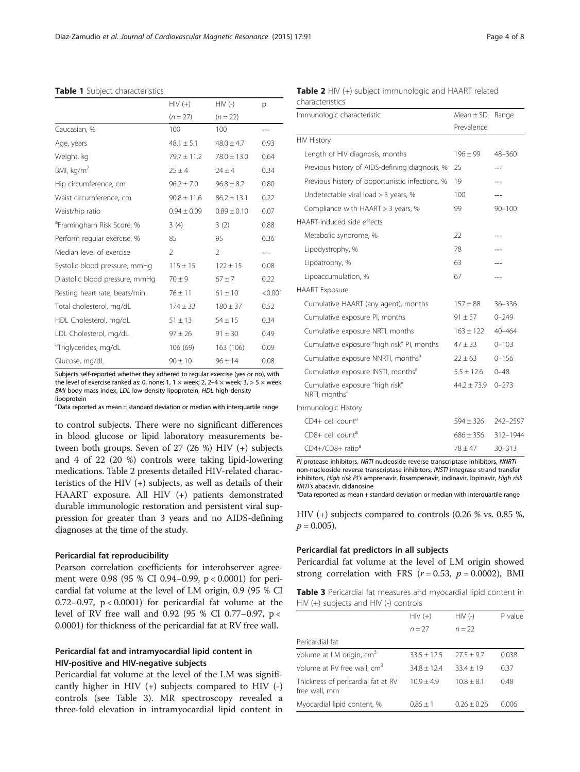|                                       | $HIV (+)$       | $HIV$ (-)       | р       |
|---------------------------------------|-----------------|-----------------|---------|
|                                       | $(n = 27)$      | $(n = 22)$      |         |
| Caucasian, %                          | 100             | 100             |         |
| Age, years                            | $48.1 \pm 5.1$  | $48.0 \pm 4.7$  | 0.93    |
| Weight, kg                            | $79.7 \pm 11.2$ | $78.0 \pm 13.0$ | 0.64    |
| BMI, kg/m <sup>2</sup>                | $25 \pm 4$      | $24 \pm 4$      | 0.34    |
| Hip circumference, cm                 | $96.2 \pm 7.0$  | $96.8 \pm 8.7$  | 0.80    |
| Waist circumference, cm               | $90.8 \pm 11.6$ | $86.2 \pm 13.1$ | 0.22    |
| Waist/hip ratio                       | $0.94 \pm 0.09$ | $0.89 \pm 0.10$ | 0.07    |
| <sup>a</sup> Framingham Risk Score, % | 3(4)            | 3(2)            | 0.88    |
| Perform regular exercise, %           | 85              | 95              | 0.36    |
| Median level of exercise              | $\overline{2}$  | $\mathcal{P}$   |         |
| Systolic blood pressure, mmHg         | $115 \pm 15$    | $122 \pm 15$    | 0.08    |
| Diastolic blood pressure, mmHq        | $70 \pm 9$      | $67 + 7$        | 0.22    |
| Resting heart rate, beats/min         | $76 \pm 11$     | $61 \pm 10$     | < 0.001 |
| Total cholesterol, mg/dL              | $174 \pm 33$    | $180 \pm 37$    | 0.52    |
| HDL Cholesterol, mg/dL                | $51 \pm 13$     | $54 \pm 15$     | 0.34    |
| LDL Cholesterol, mg/dL                | $97 \pm 26$     | $91 \pm 30$     | 0.49    |
| <sup>a</sup> Triglycerides, mg/dL     | 106 (69)        | 163 (106)       | 0.09    |
| Glucose, mg/dL                        | $90 \pm 10$     | $96 \pm 14$     | 0.08    |

#### <span id="page-3-0"></span>Table 1 Subject characteristics

Subjects self-reported whether they adhered to regular exercise (yes or no), with the level of exercise ranked as: 0, none; 1, 1  $\times$  week; 2, 2-4  $\times$  week; 3, > 5  $\times$  week BMI body mass index, LDL low-density lipoprotein, HDL high-density lipoprotein

 $^{\text{a}}$ Data reported as mean  $\pm$  standard deviation or median with interquartile range

to control subjects. There were no significant differences in blood glucose or lipid laboratory measurements between both groups. Seven of 27 (26 %) HIV (+) subjects and 4 of 22 (20 %) controls were taking lipid-lowering medications. Table 2 presents detailed HIV-related characteristics of the HIV (+) subjects, as well as details of their HAART exposure. All HIV (+) patients demonstrated durable immunologic restoration and persistent viral suppression for greater than 3 years and no AIDS-defining diagnoses at the time of the study.

### Pericardial fat reproducibility

Pearson correlation coefficients for interobserver agreement were 0.98 (95 % CI 0.94–0.99, p < 0.0001) for pericardial fat volume at the level of LM origin, 0.9 (95 % CI 0.72–0.97,  $p < 0.0001$ ) for pericardial fat volume at the level of RV free wall and 0.92 (95 % CI 0.77–0.97, p < 0.0001) for thickness of the pericardial fat at RV free wall.

# Pericardial fat and intramyocardial lipid content in HIV-positive and HIV-negative subjects

Pericardial fat volume at the level of the LM was significantly higher in HIV  $(+)$  subjects compared to HIV  $(-)$ controls (see Table 3). MR spectroscopy revealed a three-fold elevation in intramyocardial lipid content in

| <b>Table 2</b> HIV (+) subject immunologic and HAART related |  |  |  |
|--------------------------------------------------------------|--|--|--|
| characteristics                                              |  |  |  |

| Immunologic characteristic                                   | $Mean \pm SD$   | Range      |
|--------------------------------------------------------------|-----------------|------------|
|                                                              | Prevalence      |            |
| <b>HIV History</b>                                           |                 |            |
| Length of HIV diagnosis, months                              | $196 \pm 99$    | 48-360     |
| Previous history of AIDS-defining diagnosis, %               | 25              |            |
| Previous history of opportunistic infections, %              | 19              |            |
| Undetectable viral load > 3 years, %                         | 100             | ---        |
| Compliance with HAART > 3 years, %                           | 99              | $90 - 100$ |
| HAART-induced side effects                                   |                 |            |
| Metabolic syndrome, %                                        | 22              |            |
| Lipodystrophy, %                                             | 78              |            |
| Lipoatrophy, %                                               | 63              |            |
| Lipoaccumulation, %                                          | 67              |            |
| <b>HAART</b> Exposure                                        |                 |            |
| Cumulative HAART (any agent), months                         | $157 \pm 88$    | $36 - 336$ |
| Cumulative exposure PI, months                               | $91 \pm 57$     | $0 - 249$  |
| Cumulative exposure NRTI, months                             | $163 \pm 122$   | $40 - 464$ |
| Cumulative exposure "high risk" PI, months                   | $47 \pm 33$     | $0 - 103$  |
| Cumulative exposure NNRTI, months <sup>a</sup>               | $22 + 63$       | $0 - 156$  |
| Cumulative exposure INSTI, months <sup>a</sup>               | $5.5 \pm 12.6$  | $0 - 48$   |
| Cumulative exposure "high risk"<br>NRTI, months <sup>a</sup> | $44.2 \pm 73.9$ | $0 - 273$  |
| Immunologic History                                          |                 |            |
| CD4+ cell count <sup>a</sup>                                 | $594 + 326$     | 242-2597   |
| CD8+ cell count <sup>a</sup>                                 | $686 \pm 356$   | 312-1944   |
| CD4+/CD8+ ratio <sup>a</sup>                                 | $78 + 47$       | $30 - 313$ |

PI protease inhibitors, NRTI nucleoside reverse transcriptase inhibitors, NNRTI non-nucleoside reverse transcriptase inhibitors, INSTI integrase strand transfer inhibitors, High risk PI's amprenavir, fosampenavir, indinavir, lopinavir, High risk NRTI's abacavir, didanosine

<sup>a</sup>Data reported as mean + standard deviation or median with interquartile range

HIV (+) subjects compared to controls (0.26 % vs. 0.85 %,  $p = 0.005$ ).

### Pericardial fat predictors in all subjects

Pericardial fat volume at the level of LM origin showed strong correlation with FRS ( $r = 0.53$ ,  $p = 0.0002$ ), BMI

Table 3 Pericardial fat measures and myocardial lipid content in HIV (+) subjects and HIV (-) controls

|                                                     | $HIV (+)$       | $HIV$ (-)      | P value |
|-----------------------------------------------------|-----------------|----------------|---------|
|                                                     | $n = 27$        | $n = 22$       |         |
| Pericardial fat                                     |                 |                |         |
| Volume at LM origin, cm <sup>3</sup>                | $33.5 \pm 12.5$ | $27.5 \pm 9.7$ | 0.038   |
| Volume at RV free wall, cm <sup>3</sup>             | $34.8 + 12.4$   | $33.4 + 19$    | 0.37    |
| Thickness of pericardial fat at RV<br>free wall, mm | $10.9 + 4.9$    | $10.8 + 8.1$   | 0.48    |
| Myocardial lipid content, %                         | $0.85 + 1$      | $026 + 026$    | 0.006   |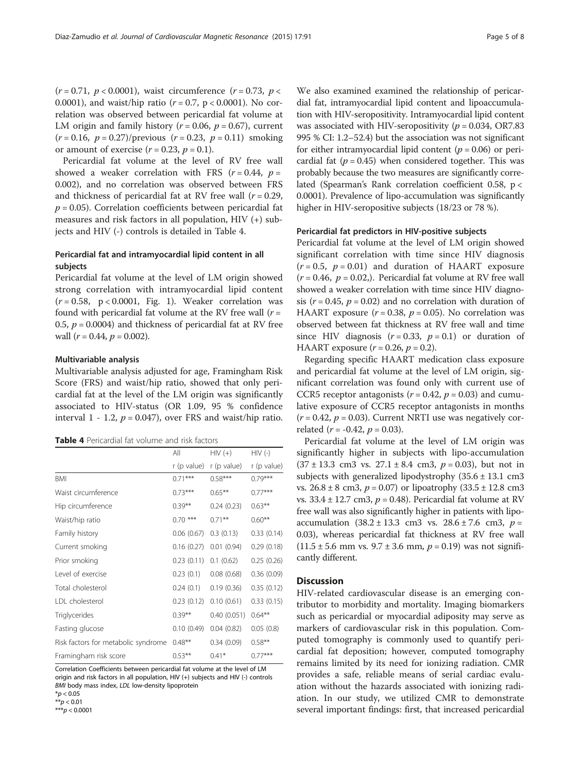$(r = 0.71, p < 0.0001)$ , waist circumference  $(r = 0.73, p <$ 0.0001), and waist/hip ratio  $(r = 0.7, p < 0.0001)$ . No correlation was observed between pericardial fat volume at LM origin and family history ( $r = 0.06$ ,  $p = 0.67$ ), current  $(r = 0.16, p = 0.27)/$ previous  $(r = 0.23, p = 0.11)$  smoking or amount of exercise  $(r = 0.23, p = 0.1)$ .

Pericardial fat volume at the level of RV free wall showed a weaker correlation with FRS ( $r = 0.44$ ,  $p =$ 0.002), and no correlation was observed between FRS and thickness of pericardial fat at RV free wall  $(r = 0.29)$ ,  $p = 0.05$ ). Correlation coefficients between pericardial fat measures and risk factors in all population, HIV (+) subjects and HIV (-) controls is detailed in Table 4.

# Pericardial fat and intramyocardial lipid content in all subjects

Pericardial fat volume at the level of LM origin showed strong correlation with intramyocardial lipid content  $(r = 0.58, p < 0.0001,$  Fig. [1\)](#page-5-0). Weaker correlation was found with pericardial fat volume at the RV free wall  $(r =$ 0.5,  $p = 0.0004$ ) and thickness of pericardial fat at RV free wall  $(r = 0.44, p = 0.002)$ .

### Multivariable analysis

Multivariable analysis adjusted for age, Framingham Risk Score (FRS) and waist/hip ratio, showed that only pericardial fat at the level of the LM origin was significantly associated to HIV-status (OR 1.09, 95 % confidence interval 1 - 1.2,  $p = 0.047$ ), over FRS and waist/hip ratio.

| Table 4 Pericardial fat volume and risk factors |  |
|-------------------------------------------------|--|
|-------------------------------------------------|--|

|                                     | All         | $HIV (+)$   | $HIV$ (-)   |
|-------------------------------------|-------------|-------------|-------------|
|                                     | r (p value) | r (p value) | r (p value) |
| <b>BMI</b>                          | $0.71***$   | $0.58***$   | $0.79***$   |
| Waist circumference                 | $0.73***$   | $0.65***$   | $0.77***$   |
| Hip circumference                   | $0.39***$   | 0.24(0.23)  | $0.63***$   |
| Waist/hip ratio                     | $0.70***$   | $0.71***$   | $0.60**$    |
| Family history                      | 0.06(0.67)  | 0.3(0.13)   | 0.33(0.14)  |
| Current smoking                     | 0.16(0.27)  | 0.01(0.94)  | 0.29(0.18)  |
| Prior smoking                       | 0.23(0.11)  | 0.1(0.62)   | 0.25(0.26)  |
| Level of exercise                   | 0.23(0.1)   | 0.08(0.68)  | 0.36(0.09)  |
| Total cholesterol                   | 0.24(0.1)   | 0.19(0.36)  | 0.35(0.12)  |
| LDL cholesterol                     | 0.23(0.12)  | 0.10(0.61)  | 0.33(0.15)  |
| Triglycerides                       | $0.39***$   | 0.40(0.051) | $0.64***$   |
| Fasting glucose                     | 0.10(0.49)  | 0.04(0.82)  | 0.05(0.8)   |
| Risk factors for metabolic syndrome | $0.48***$   | 0.34(0.09)  | $0.58***$   |
| Framingham risk score               | $0.53***$   | $0.41*$     | $0.77***$   |

Correlation Coefficients between pericardial fat volume at the level of LM origin and risk factors in all population, HIV (+) subjects and HIV (-) controls BMI body mass index, LDL low-density lipoprotein

 $*p < 0.05$ 

 $**p < 0.01$ \*\*\* $p < 0.0001$ 

We also examined examined the relationship of pericardial fat, intramyocardial lipid content and lipoaccumulation with HIV-seropositivity. Intramyocardial lipid content was associated with HIV-seropositivity ( $p = 0.034$ , OR7.83 995 % CI: 1.2–52.4) but the association was not significant for either intramyocardial lipid content ( $p = 0.06$ ) or pericardial fat ( $p = 0.45$ ) when considered together. This was probably because the two measures are significantly correlated (Spearman's Rank correlation coefficient 0.58, p < 0.0001). Prevalence of lipo-accumulation was significantly higher in HIV-seropositive subjects (18/23 or 78 %).

### Pericardial fat predictors in HIV-positive subjects

Pericardial fat volume at the level of LM origin showed significant correlation with time since HIV diagnosis  $(r = 0.5, p = 0.01)$  and duration of HAART exposure  $(r = 0.46, p = 0.02)$ . Pericardial fat volume at RV free wall showed a weaker correlation with time since HIV diagnosis ( $r = 0.45$ ,  $p = 0.02$ ) and no correlation with duration of HAART exposure ( $r = 0.38$ ,  $p = 0.05$ ). No correlation was observed between fat thickness at RV free wall and time since HIV diagnosis  $(r = 0.33, p = 0.1)$  or duration of HAART exposure  $(r = 0.26, p = 0.2)$ .

Regarding specific HAART medication class exposure and pericardial fat volume at the level of LM origin, significant correlation was found only with current use of CCR5 receptor antagonists ( $r = 0.42$ ,  $p = 0.03$ ) and cumulative exposure of CCR5 receptor antagonists in months  $(r = 0.42, p = 0.03)$ . Current NRTI use was negatively correlated ( $r = -0.42$ ,  $p = 0.03$ ).

Pericardial fat volume at the level of LM origin was significantly higher in subjects with lipo-accumulation  $(37 \pm 13.3 \text{ cm}^3 \text{ vs. } 27.1 \pm 8.4 \text{ cm}^3 \text{, } p = 0.03)$ , but not in subjects with generalized lipodystrophy  $(35.6 \pm 13.1 \text{ cm}^3)$ vs.  $26.8 \pm 8$  cm3,  $p = 0.07$ ) or lipoatrophy  $(33.5 \pm 12.8 \text{ cm}^3)$ vs.  $33.4 \pm 12.7$  cm3,  $p = 0.48$ ). Pericardial fat volume at RV free wall was also significantly higher in patients with lipoaccumulation  $(38.2 \pm 13.3 \text{ cm}^3 \text{ vs. } 28.6 \pm 7.6 \text{ cm}^3 \text{, } p =$ 0.03), whereas pericardial fat thickness at RV free wall  $(11.5 \pm 5.6 \text{ mm vs. } 9.7 \pm 3.6 \text{ mm}, p = 0.19)$  was not significantly different.

### **Discussion**

HIV-related cardiovascular disease is an emerging contributor to morbidity and mortality. Imaging biomarkers such as pericardial or myocardial adiposity may serve as markers of cardiovascular risk in this population. Computed tomography is commonly used to quantify pericardial fat deposition; however, computed tomography remains limited by its need for ionizing radiation. CMR provides a safe, reliable means of serial cardiac evaluation without the hazards associated with ionizing radiation. In our study, we utilized CMR to demonstrate several important findings: first, that increased pericardial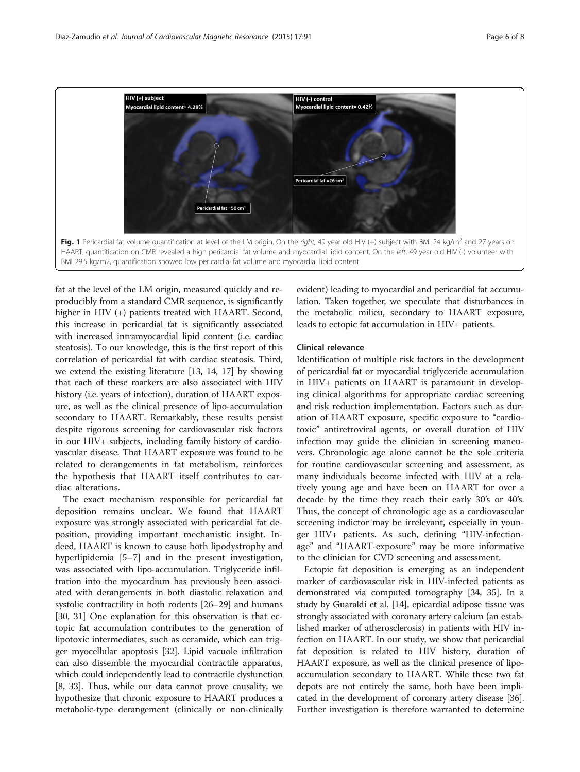<span id="page-5-0"></span>

fat at the level of the LM origin, measured quickly and reproducibly from a standard CMR sequence, is significantly higher in HIV (+) patients treated with HAART. Second, this increase in pericardial fat is significantly associated with increased intramyocardial lipid content (i.e. cardiac steatosis). To our knowledge, this is the first report of this correlation of pericardial fat with cardiac steatosis. Third, we extend the existing literature [[13](#page-7-0), [14, 17](#page-7-0)] by showing that each of these markers are also associated with HIV history (i.e. years of infection), duration of HAART exposure, as well as the clinical presence of lipo-accumulation secondary to HAART. Remarkably, these results persist despite rigorous screening for cardiovascular risk factors in our HIV+ subjects, including family history of cardiovascular disease. That HAART exposure was found to be related to derangements in fat metabolism, reinforces the hypothesis that HAART itself contributes to cardiac alterations.

The exact mechanism responsible for pericardial fat deposition remains unclear. We found that HAART exposure was strongly associated with pericardial fat deposition, providing important mechanistic insight. Indeed, HAART is known to cause both lipodystrophy and hyperlipidemia [[5](#page-7-0)–[7](#page-7-0)] and in the present investigation, was associated with lipo-accumulation. Triglyceride infiltration into the myocardium has previously been associated with derangements in both diastolic relaxation and systolic contractility in both rodents [\[26](#page-7-0)–[29](#page-7-0)] and humans [[30](#page-7-0), [31](#page-7-0)] One explanation for this observation is that ectopic fat accumulation contributes to the generation of lipotoxic intermediates, such as ceramide, which can trigger myocellular apoptosis [[32](#page-7-0)]. Lipid vacuole infiltration can also dissemble the myocardial contractile apparatus, which could independently lead to contractile dysfunction [[8, 33](#page-7-0)]. Thus, while our data cannot prove causality, we hypothesize that chronic exposure to HAART produces a metabolic-type derangement (clinically or non-clinically

evident) leading to myocardial and pericardial fat accumulation. Taken together, we speculate that disturbances in the metabolic milieu, secondary to HAART exposure, leads to ectopic fat accumulation in HIV+ patients.

### Clinical relevance

Identification of multiple risk factors in the development of pericardial fat or myocardial triglyceride accumulation in HIV+ patients on HAART is paramount in developing clinical algorithms for appropriate cardiac screening and risk reduction implementation. Factors such as duration of HAART exposure, specific exposure to "cardiotoxic" antiretroviral agents, or overall duration of HIV infection may guide the clinician in screening maneuvers. Chronologic age alone cannot be the sole criteria for routine cardiovascular screening and assessment, as many individuals become infected with HIV at a relatively young age and have been on HAART for over a decade by the time they reach their early 30's or 40's. Thus, the concept of chronologic age as a cardiovascular screening indictor may be irrelevant, especially in younger HIV+ patients. As such, defining "HIV-infectionage" and "HAART-exposure" may be more informative to the clinician for CVD screening and assessment.

Ectopic fat deposition is emerging as an independent marker of cardiovascular risk in HIV-infected patients as demonstrated via computed tomography [\[34, 35\]](#page-7-0). In a study by Guaraldi et al. [\[14\]](#page-7-0), epicardial adipose tissue was strongly associated with coronary artery calcium (an established marker of atherosclerosis) in patients with HIV infection on HAART. In our study, we show that pericardial fat deposition is related to HIV history, duration of HAART exposure, as well as the clinical presence of lipoaccumulation secondary to HAART. While these two fat depots are not entirely the same, both have been implicated in the development of coronary artery disease [[36](#page-7-0)]. Further investigation is therefore warranted to determine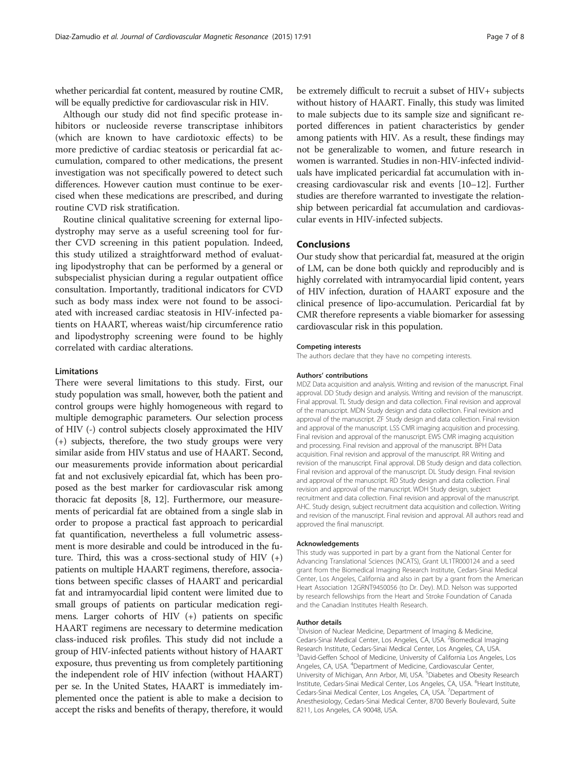whether pericardial fat content, measured by routine CMR, will be equally predictive for cardiovascular risk in HIV.

Although our study did not find specific protease inhibitors or nucleoside reverse transcriptase inhibitors (which are known to have cardiotoxic effects) to be more predictive of cardiac steatosis or pericardial fat accumulation, compared to other medications, the present investigation was not specifically powered to detect such differences. However caution must continue to be exercised when these medications are prescribed, and during routine CVD risk stratification.

Routine clinical qualitative screening for external lipodystrophy may serve as a useful screening tool for further CVD screening in this patient population. Indeed, this study utilized a straightforward method of evaluating lipodystrophy that can be performed by a general or subspecialist physician during a regular outpatient office consultation. Importantly, traditional indicators for CVD such as body mass index were not found to be associated with increased cardiac steatosis in HIV-infected patients on HAART, whereas waist/hip circumference ratio and lipodystrophy screening were found to be highly correlated with cardiac alterations.

### Limitations

There were several limitations to this study. First, our study population was small, however, both the patient and control groups were highly homogeneous with regard to multiple demographic parameters. Our selection process of HIV (-) control subjects closely approximated the HIV (+) subjects, therefore, the two study groups were very similar aside from HIV status and use of HAART. Second, our measurements provide information about pericardial fat and not exclusively epicardial fat, which has been proposed as the best marker for cardiovascular risk among thoracic fat deposits [[8, 12](#page-7-0)]. Furthermore, our measurements of pericardial fat are obtained from a single slab in order to propose a practical fast approach to pericardial fat quantification, nevertheless a full volumetric assessment is more desirable and could be introduced in the future. Third, this was a cross-sectional study of HIV (+) patients on multiple HAART regimens, therefore, associations between specific classes of HAART and pericardial fat and intramyocardial lipid content were limited due to small groups of patients on particular medication regimens. Larger cohorts of HIV (+) patients on specific HAART regimens are necessary to determine medication class-induced risk profiles. This study did not include a group of HIV-infected patients without history of HAART exposure, thus preventing us from completely partitioning the independent role of HIV infection (without HAART) per se. In the United States, HAART is immediately implemented once the patient is able to make a decision to accept the risks and benefits of therapy, therefore, it would

be extremely difficult to recruit a subset of HIV+ subjects without history of HAART. Finally, this study was limited to male subjects due to its sample size and significant reported differences in patient characteristics by gender among patients with HIV. As a result, these findings may not be generalizable to women, and future research in women is warranted. Studies in non-HIV-infected individuals have implicated pericardial fat accumulation with increasing cardiovascular risk and events [[10](#page-7-0)–[12](#page-7-0)]. Further studies are therefore warranted to investigate the relationship between pericardial fat accumulation and cardiovascular events in HIV-infected subjects.

### Conclusions

Our study show that pericardial fat, measured at the origin of LM, can be done both quickly and reproducibly and is highly correlated with intramyocardial lipid content, years of HIV infection, duration of HAART exposure and the clinical presence of lipo-accumulation. Pericardial fat by CMR therefore represents a viable biomarker for assessing cardiovascular risk in this population.

### Competing interests

The authors declare that they have no competing interests.

#### Authors' contributions

MDZ Data acquisition and analysis. Writing and revision of the manuscript. Final approval. DD Study design and analysis. Writing and revision of the manuscript. Final approval. TL Study design and data collection. Final revision and approval of the manuscript. MDN Study design and data collection. Final revision and approval of the manuscript. ZF Study design and data collection. Final revision and approval of the manuscript. LSS CMR imaging acquisition and processing. Final revision and approval of the manuscript. EWS CMR imaging acquisition and processing. Final revision and approval of the manuscript. BPH Data acquisition. Final revision and approval of the manuscript. RR Writing and revision of the manuscript. Final approval. DB Study design and data collection. Final revision and approval of the manuscript. DL Study design. Final revision and approval of the manuscript. RD Study design and data collection. Final revision and approval of the manuscript. WDH Study design, subject recruitment and data collection. Final revision and approval of the manuscript. AHC. Study design, subject recruitment data acquisition and collection. Writing and revision of the manuscript. Final revision and approval. All authors read and approved the final manuscript.

#### Acknowledgements

This study was supported in part by a grant from the National Center for Advancing Translational Sciences (NCATS), Grant UL1TR000124 and a seed grant from the Biomedical Imaging Research Institute, Cedars-Sinai Medical Center, Los Angeles, California and also in part by a grant from the American Heart Association 12GRNT9450056 (to Dr. Dey). M.D. Nelson was supported by research fellowships from the Heart and Stroke Foundation of Canada and the Canadian Institutes Health Research.

### Author details

<sup>1</sup> Division of Nuclear Medicine, Department of Imaging & Medicine, Cedars-Sinai Medical Center, Los Angeles, CA, USA. <sup>2</sup>Biomedical Imaging Research Institute, Cedars-Sinai Medical Center, Los Angeles, CA, USA. <sup>3</sup>David-Geffen School of Medicine, University of California Los Angeles, Los Angeles, CA, USA. <sup>4</sup> Department of Medicine, Cardiovascular Center, University of Michigan, Ann Arbor, MI, USA. <sup>5</sup>Diabetes and Obesity Research Institute, Cedars-Sinai Medical Center, Los Angeles, CA, USA. <sup>6</sup>Heart Institute Cedars-Sinai Medical Center, Los Angeles, CA, USA. <sup>7</sup>Department of Anesthesiology, Cedars-Sinai Medical Center, 8700 Beverly Boulevard, Suite 8211, Los Angeles, CA 90048, USA.